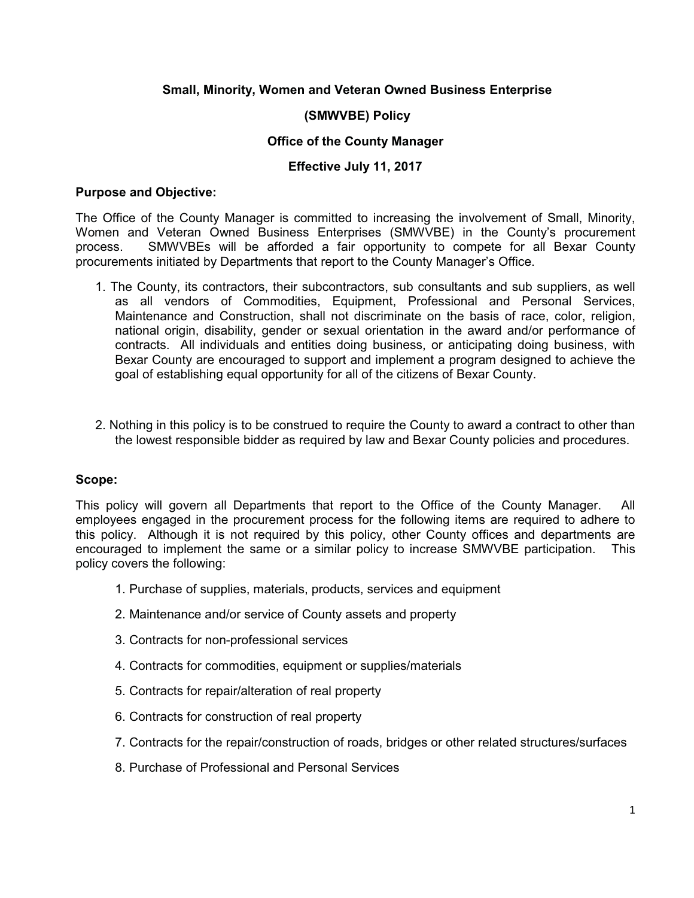# **Small, Minority, Women and Veteran Owned Business Enterprise**

# **(SMWVBE) Policy**

## **Office of the County Manager**

## **Effective July 11, 2017**

#### **Purpose and Objective:**

The Office of the County Manager is committed to increasing the involvement of Small, Minority, Women and Veteran Owned Business Enterprises (SMWVBE) in the County's procurement process. SMWVBEs will be afforded a fair opportunity to compete for all Bexar County procurements initiated by Departments that report to the County Manager's Office.

- 1. The County, its contractors, their subcontractors, sub consultants and sub suppliers, as well as all vendors of Commodities, Equipment, Professional and Personal Services, Maintenance and Construction, shall not discriminate on the basis of race, color, religion, national origin, disability, gender or sexual orientation in the award and/or performance of contracts. All individuals and entities doing business, or anticipating doing business, with Bexar County are encouraged to support and implement a program designed to achieve the goal of establishing equal opportunity for all of the citizens of Bexar County.
- 2. Nothing in this policy is to be construed to require the County to award a contract to other than the lowest responsible bidder as required by law and Bexar County policies and procedures.

# **Scope:**

This policy will govern all Departments that report to the Office of the County Manager. All employees engaged in the procurement process for the following items are required to adhere to this policy. Although it is not required by this policy, other County offices and departments are encouraged to implement the same or a similar policy to increase SMWVBE participation. This policy covers the following:

- 1. Purchase of supplies, materials, products, services and equipment
- 2. Maintenance and/or service of County assets and property
- 3. Contracts for non-professional services
- 4. Contracts for commodities, equipment or supplies/materials
- 5. Contracts for repair/alteration of real property
- 6. Contracts for construction of real property
- 7. Contracts for the repair/construction of roads, bridges or other related structures/surfaces
- 8. Purchase of Professional and Personal Services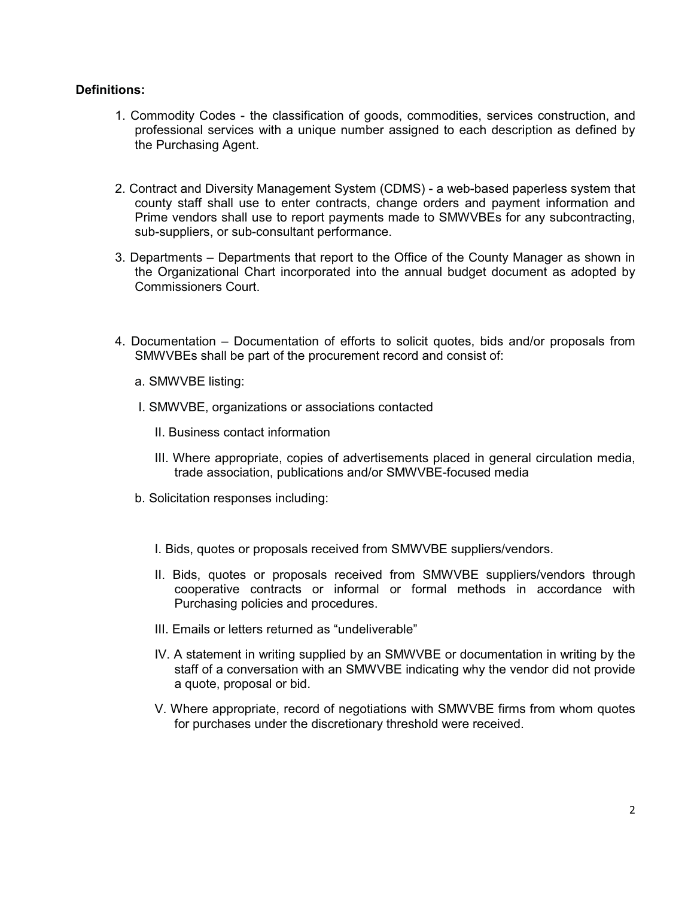#### **Definitions:**

- 1. Commodity Codes the classification of goods, commodities, services construction, and professional services with a unique number assigned to each description as defined by the Purchasing Agent.
- 2. Contract and Diversity Management System (CDMS) a web-based paperless system that county staff shall use to enter contracts, change orders and payment information and Prime vendors shall use to report payments made to SMWVBEs for any subcontracting, sub-suppliers, or sub-consultant performance.
- 3. Departments Departments that report to the Office of the County Manager as shown in the Organizational Chart incorporated into the annual budget document as adopted by Commissioners Court.
- 4. Documentation Documentation of efforts to solicit quotes, bids and/or proposals from SMWVBEs shall be part of the procurement record and consist of:
	- a. SMWVBE listing:
	- I. SMWVBE, organizations or associations contacted
		- II. Business contact information
		- III. Where appropriate, copies of advertisements placed in general circulation media, trade association, publications and/or SMWVBE-focused media
	- b. Solicitation responses including:
		- I. Bids, quotes or proposals received from SMWVBE suppliers/vendors.
		- II. Bids, quotes or proposals received from SMWVBE suppliers/vendors through cooperative contracts or informal or formal methods in accordance with Purchasing policies and procedures.
		- III. Emails or letters returned as "undeliverable"
		- IV. A statement in writing supplied by an SMWVBE or documentation in writing by the staff of a conversation with an SMWVBE indicating why the vendor did not provide a quote, proposal or bid.
		- V. Where appropriate, record of negotiations with SMWVBE firms from whom quotes for purchases under the discretionary threshold were received.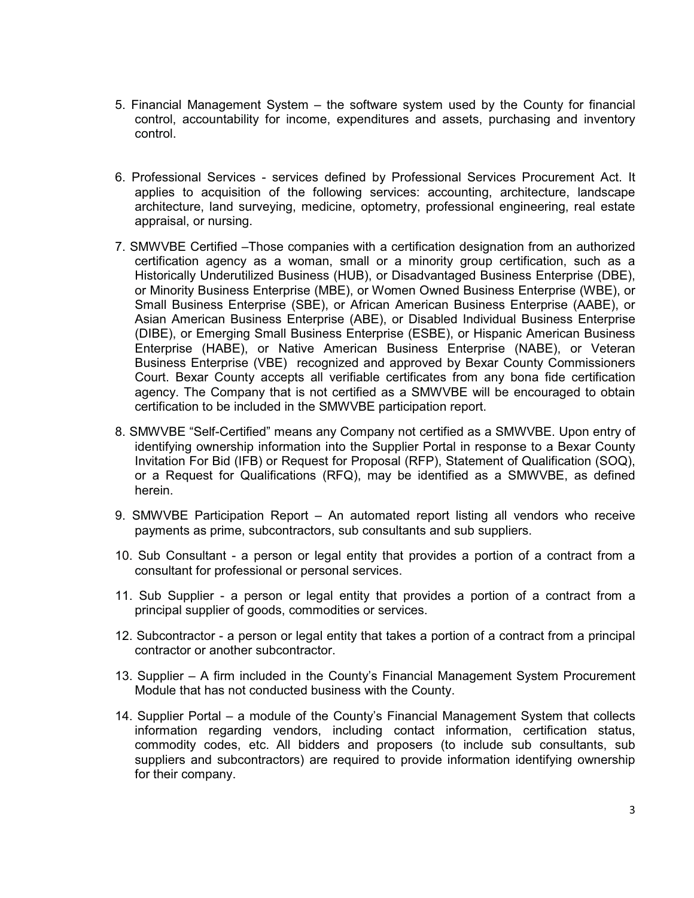- 5. Financial Management System the software system used by the County for financial control, accountability for income, expenditures and assets, purchasing and inventory control.
- 6. Professional Services services defined by Professional Services Procurement Act. It applies to acquisition of the following services: accounting, architecture, landscape architecture, land surveying, medicine, optometry, professional engineering, real estate appraisal, or nursing.
- 7. SMWVBE Certified –Those companies with a certification designation from an authorized certification agency as a woman, small or a minority group certification, such as a Historically Underutilized Business (HUB), or Disadvantaged Business Enterprise (DBE), or Minority Business Enterprise (MBE), or Women Owned Business Enterprise (WBE), or Small Business Enterprise (SBE), or African American Business Enterprise (AABE), or Asian American Business Enterprise (ABE), or Disabled Individual Business Enterprise (DIBE), or Emerging Small Business Enterprise (ESBE), or Hispanic American Business Enterprise (HABE), or Native American Business Enterprise (NABE), or Veteran Business Enterprise (VBE) recognized and approved by Bexar County Commissioners Court. Bexar County accepts all verifiable certificates from any bona fide certification agency. The Company that is not certified as a SMWVBE will be encouraged to obtain certification to be included in the SMWVBE participation report.
- 8. SMWVBE "Self-Certified" means any Company not certified as a SMWVBE. Upon entry of identifying ownership information into the Supplier Portal in response to a Bexar County Invitation For Bid (IFB) or Request for Proposal (RFP), Statement of Qualification (SOQ), or a Request for Qualifications (RFQ), may be identified as a SMWVBE, as defined herein.
- 9. SMWVBE Participation Report An automated report listing all vendors who receive payments as prime, subcontractors, sub consultants and sub suppliers.
- 10. Sub Consultant a person or legal entity that provides a portion of a contract from a consultant for professional or personal services.
- 11. Sub Supplier a person or legal entity that provides a portion of a contract from a principal supplier of goods, commodities or services.
- 12. Subcontractor a person or legal entity that takes a portion of a contract from a principal contractor or another subcontractor.
- 13. Supplier A firm included in the County's Financial Management System Procurement Module that has not conducted business with the County.
- 14. Supplier Portal a module of the County's Financial Management System that collects information regarding vendors, including contact information, certification status, commodity codes, etc. All bidders and proposers (to include sub consultants, sub suppliers and subcontractors) are required to provide information identifying ownership for their company.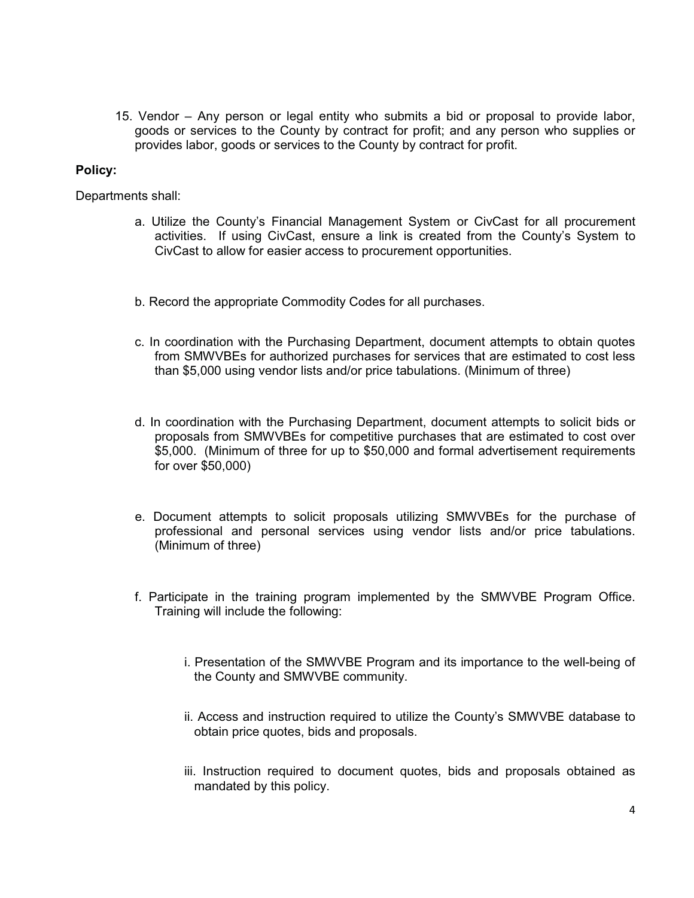15. Vendor – Any person or legal entity who submits a bid or proposal to provide labor, goods or services to the County by contract for profit; and any person who supplies or provides labor, goods or services to the County by contract for profit.

## **Policy:**

Departments shall:

- a. Utilize the County's Financial Management System or CivCast for all procurement activities. If using CivCast, ensure a link is created from the County's System to CivCast to allow for easier access to procurement opportunities.
- b. Record the appropriate Commodity Codes for all purchases.
- c. In coordination with the Purchasing Department, document attempts to obtain quotes from SMWVBEs for authorized purchases for services that are estimated to cost less than \$5,000 using vendor lists and/or price tabulations. (Minimum of three)
- d. In coordination with the Purchasing Department, document attempts to solicit bids or proposals from SMWVBEs for competitive purchases that are estimated to cost over \$5,000. (Minimum of three for up to \$50,000 and formal advertisement requirements for over \$50,000)
- e. Document attempts to solicit proposals utilizing SMWVBEs for the purchase of professional and personal services using vendor lists and/or price tabulations. (Minimum of three)
- f. Participate in the training program implemented by the SMWVBE Program Office. Training will include the following:
	- i. Presentation of the SMWVBE Program and its importance to the well-being of the County and SMWVBE community.
	- ii. Access and instruction required to utilize the County's SMWVBE database to obtain price quotes, bids and proposals.
	- iii. Instruction required to document quotes, bids and proposals obtained as mandated by this policy.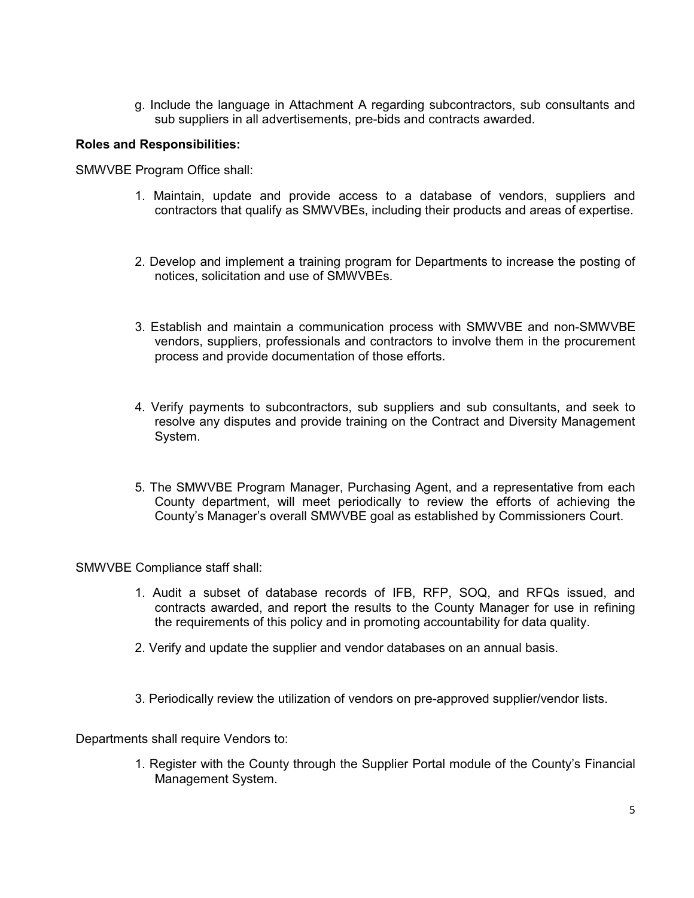g. Include the language in Attachment A regarding subcontractors, sub consultants and sub suppliers in all advertisements, pre-bids and contracts awarded.

## **Roles and Responsibilities:**

SMWVBE Program Office shall:

- 1. Maintain, update and provide access to a database of vendors, suppliers and contractors that qualify as SMWVBEs, including their products and areas of expertise.
- 2. Develop and implement a training program for Departments to increase the posting of notices, solicitation and use of SMWVBEs.
- 3. Establish and maintain a communication process with SMWVBE and non-SMWVBE vendors, suppliers, professionals and contractors to involve them in the procurement process and provide documentation of those efforts.
- 4. Verify payments to subcontractors, sub suppliers and sub consultants, and seek to resolve any disputes and provide training on the Contract and Diversity Management System.
- 5. The SMWVBE Program Manager, Purchasing Agent, and a representative from each County department, will meet periodically to review the efforts of achieving the County's Manager's overall SMWVBE goal as established by Commissioners Court.

SMWVBE Compliance staff shall:

- 1. Audit a subset of database records of IFB, RFP, SOQ, and RFQs issued, and contracts awarded, and report the results to the County Manager for use in refining the requirements of this policy and in promoting accountability for data quality.
- 2. Verify and update the supplier and vendor databases on an annual basis.
- 3. Periodically review the utilization of vendors on pre-approved supplier/vendor lists.

Departments shall require Vendors to:

1. Register with the County through the Supplier Portal module of the County's Financial Management System.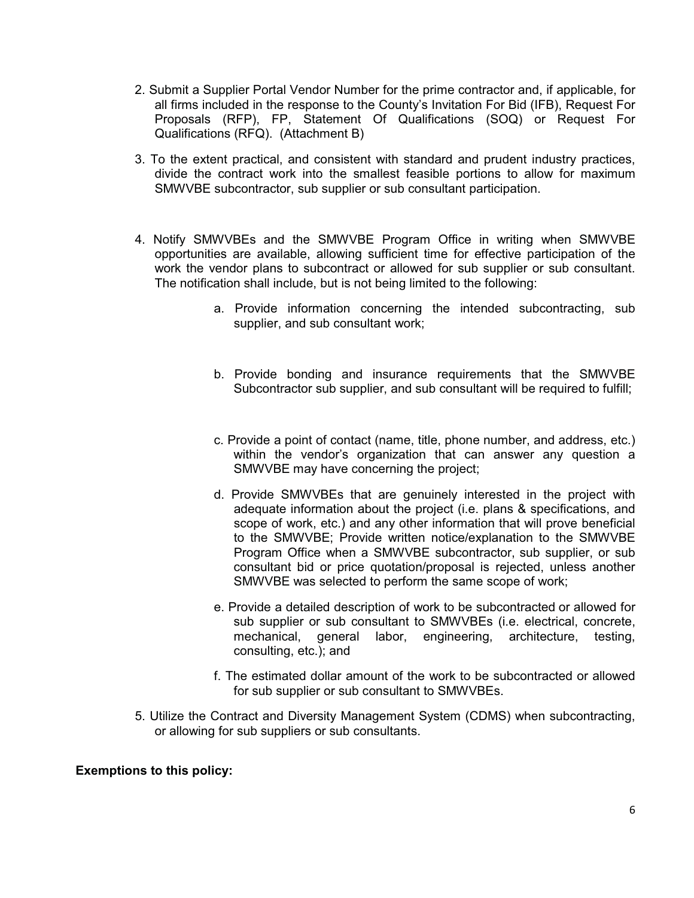- 2. Submit a Supplier Portal Vendor Number for the prime contractor and, if applicable, for all firms included in the response to the County's Invitation For Bid (IFB), Request For Proposals (RFP), FP, Statement Of Qualifications (SOQ) or Request For Qualifications (RFQ). (Attachment B)
- 3. To the extent practical, and consistent with standard and prudent industry practices, divide the contract work into the smallest feasible portions to allow for maximum SMWVBE subcontractor, sub supplier or sub consultant participation.
- 4. Notify SMWVBEs and the SMWVBE Program Office in writing when SMWVBE opportunities are available, allowing sufficient time for effective participation of the work the vendor plans to subcontract or allowed for sub supplier or sub consultant. The notification shall include, but is not being limited to the following:
	- a. Provide information concerning the intended subcontracting, sub supplier, and sub consultant work;
	- b. Provide bonding and insurance requirements that the SMWVBE Subcontractor sub supplier, and sub consultant will be required to fulfill;
	- c. Provide a point of contact (name, title, phone number, and address, etc.) within the vendor's organization that can answer any question a SMWVBE may have concerning the project;
	- d. Provide SMWVBEs that are genuinely interested in the project with adequate information about the project (i.e. plans & specifications, and scope of work, etc.) and any other information that will prove beneficial to the SMWVBE; Provide written notice/explanation to the SMWVBE Program Office when a SMWVBE subcontractor, sub supplier, or sub consultant bid or price quotation/proposal is rejected, unless another SMWVBE was selected to perform the same scope of work;
	- e. Provide a detailed description of work to be subcontracted or allowed for sub supplier or sub consultant to SMWVBEs (i.e. electrical, concrete, mechanical, general labor, engineering, architecture, testing, consulting, etc.); and
	- f. The estimated dollar amount of the work to be subcontracted or allowed for sub supplier or sub consultant to SMWVBEs.
- 5. Utilize the Contract and Diversity Management System (CDMS) when subcontracting, or allowing for sub suppliers or sub consultants.

#### **Exemptions to this policy:**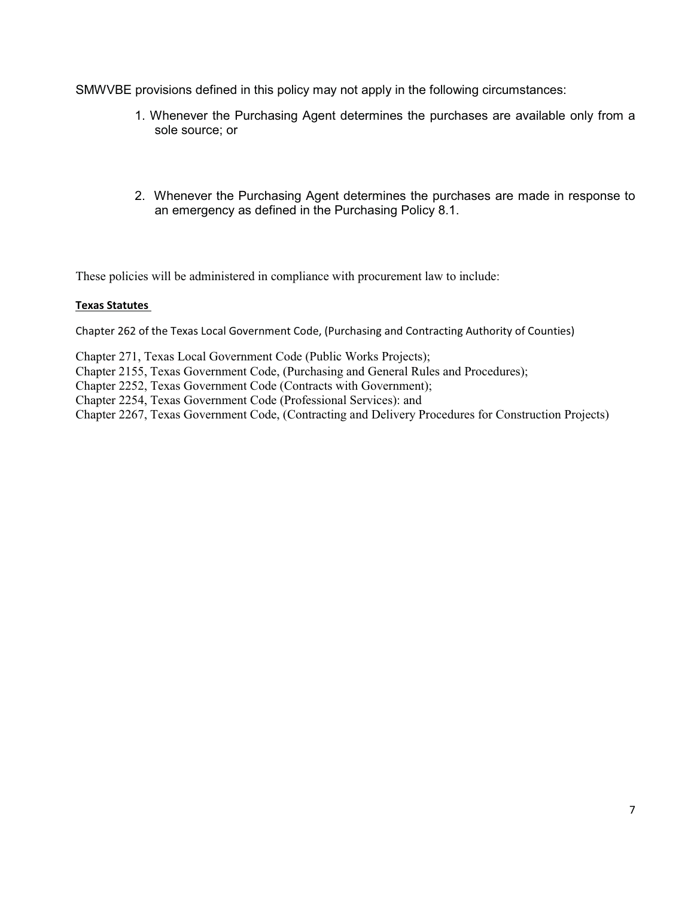SMWVBE provisions defined in this policy may not apply in the following circumstances:

- 1. Whenever the Purchasing Agent determines the purchases are available only from a sole source; or
- 2. Whenever the Purchasing Agent determines the purchases are made in response to an emergency as defined in the Purchasing Policy 8.1.

These policies will be administered in compliance with procurement law to include:

#### **Texas Statutes**

Chapter 262 of the Texas Local Government Code, (Purchasing and Contracting Authority of Counties)

Chapter 271, Texas Local Government Code (Public Works Projects);

Chapter 2155, Texas Government Code, (Purchasing and General Rules and Procedures);

Chapter 2252, Texas Government Code (Contracts with Government);

Chapter 2254, Texas Government Code (Professional Services): and

Chapter 2267, Texas Government Code, (Contracting and Delivery Procedures for Construction Projects)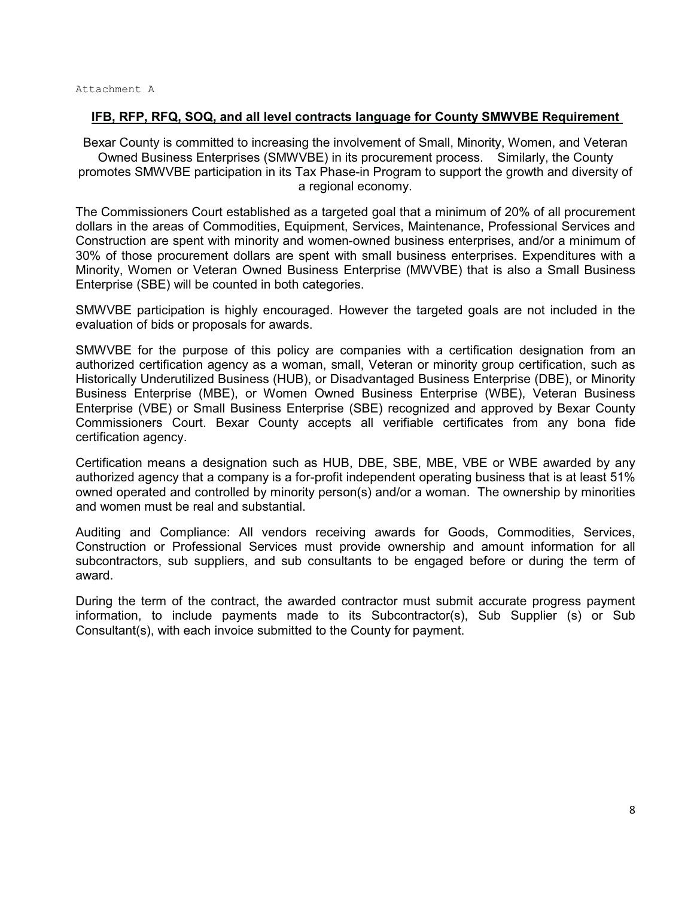#### **IFB, RFP, RFQ, SOQ, and all level contracts language for County SMWVBE Requirement**

Bexar County is committed to increasing the involvement of Small, Minority, Women, and Veteran Owned Business Enterprises (SMWVBE) in its procurement process. Similarly, the County promotes SMWVBE participation in its Tax Phase-in Program to support the growth and diversity of a regional economy.

The Commissioners Court established as a targeted goal that a minimum of 20% of all procurement dollars in the areas of Commodities, Equipment, Services, Maintenance, Professional Services and Construction are spent with minority and women-owned business enterprises, and/or a minimum of 30% of those procurement dollars are spent with small business enterprises. Expenditures with a Minority, Women or Veteran Owned Business Enterprise (MWVBE) that is also a Small Business Enterprise (SBE) will be counted in both categories.

SMWVBE participation is highly encouraged. However the targeted goals are not included in the evaluation of bids or proposals for awards.

SMWVBE for the purpose of this policy are companies with a certification designation from an authorized certification agency as a woman, small, Veteran or minority group certification, such as Historically Underutilized Business (HUB), or Disadvantaged Business Enterprise (DBE), or Minority Business Enterprise (MBE), or Women Owned Business Enterprise (WBE), Veteran Business Enterprise (VBE) or Small Business Enterprise (SBE) recognized and approved by Bexar County Commissioners Court. Bexar County accepts all verifiable certificates from any bona fide certification agency.

Certification means a designation such as HUB, DBE, SBE, MBE, VBE or WBE awarded by any authorized agency that a company is a for-profit independent operating business that is at least 51% owned operated and controlled by minority person(s) and/or a woman. The ownership by minorities and women must be real and substantial.

Auditing and Compliance: All vendors receiving awards for Goods, Commodities, Services, Construction or Professional Services must provide ownership and amount information for all subcontractors, sub suppliers, and sub consultants to be engaged before or during the term of award.

During the term of the contract, the awarded contractor must submit accurate progress payment information, to include payments made to its Subcontractor(s), Sub Supplier (s) or Sub Consultant(s), with each invoice submitted to the County for payment.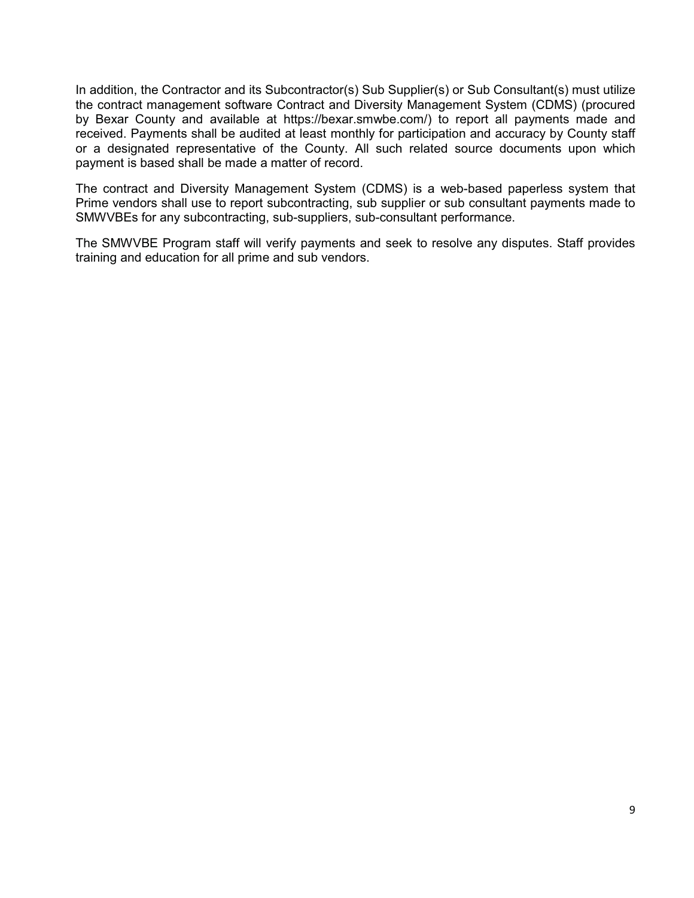In addition, the Contractor and its Subcontractor(s) Sub Supplier(s) or Sub Consultant(s) must utilize the contract management software Contract and Diversity Management System (CDMS) (procured by Bexar County and available at https://bexar.smwbe.com/) to report all payments made and received. Payments shall be audited at least monthly for participation and accuracy by County staff or a designated representative of the County. All such related source documents upon which payment is based shall be made a matter of record.

The contract and Diversity Management System (CDMS) is a web-based paperless system that Prime vendors shall use to report subcontracting, sub supplier or sub consultant payments made to SMWVBEs for any subcontracting, sub-suppliers, sub-consultant performance.

The SMWVBE Program staff will verify payments and seek to resolve any disputes. Staff provides training and education for all prime and sub vendors.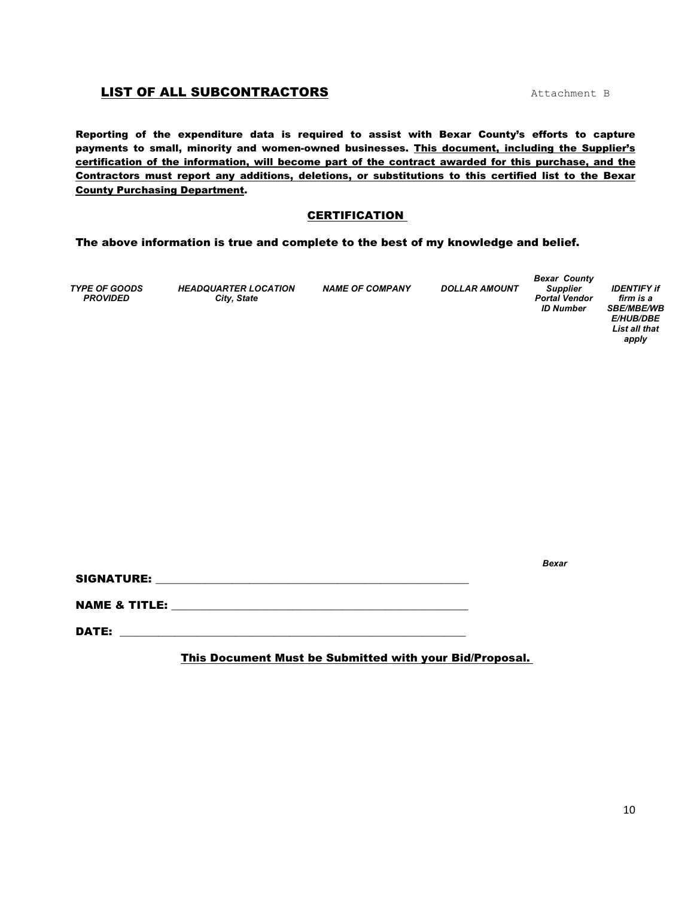## LIST OF ALL SUBCONTRACTORS Attachment B

Reporting of the expenditure data is required to assist with Bexar County's efforts to capture payments to small, minority and women-owned businesses. This document, including the Supplier's certification of the information, will become part of the contract awarded for this purchase, and the Contractors must report any additions, deletions, or substitutions to this certified list to the Bexar County Purchasing Department.

#### CERTIFICATION

The above information is true and complete to the best of my knowledge and belief.

*TYPE OF GOODS PROVIDED* 

*HEADQUARTER LOCATION City, State* 

*NAME OF COMPANY DOLLAR AMOUNT* 

*Bexar County Supplier Portal Vendor ID Number* 

*IDENTIFY if firm is a SBE/MBE/WB E/HUB/DBE List all that apply* 

*Bexar* 

SIGNATURE: \_\_\_\_\_\_\_\_\_\_\_\_\_\_\_\_\_\_\_\_\_\_\_\_\_\_\_\_\_\_\_\_\_\_\_\_\_\_\_\_\_\_\_\_\_\_\_\_\_\_\_\_\_\_\_\_\_

NAME & TITLE: \_\_\_\_\_\_\_\_\_\_\_\_\_\_\_\_\_\_\_\_\_\_\_\_\_\_\_\_\_\_\_\_\_\_\_\_\_\_\_\_\_\_\_\_\_\_\_\_\_\_\_\_\_\_

DATE:

This Document Must be Submitted with your Bid/Proposal.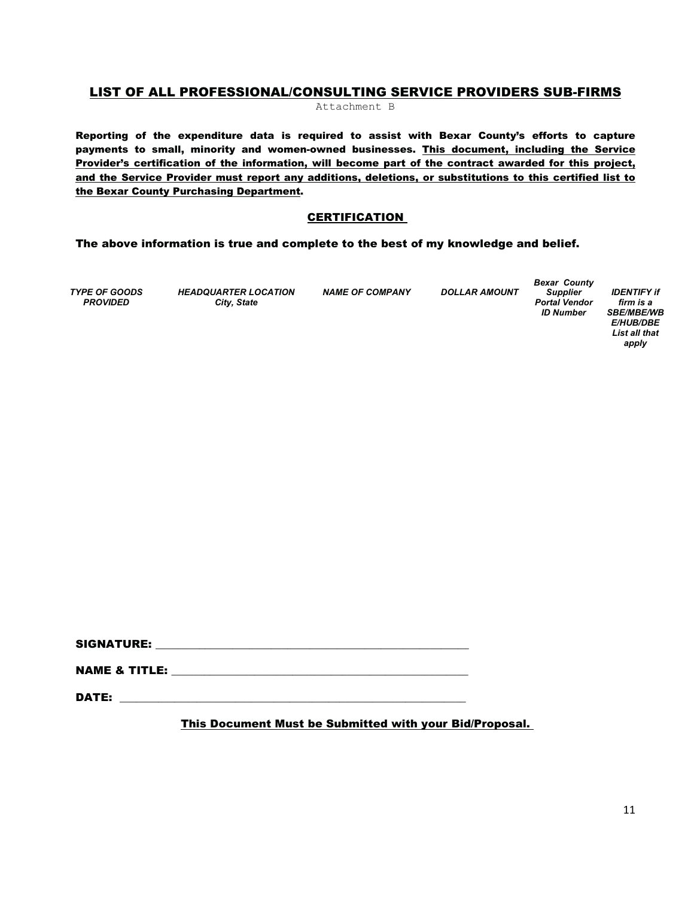## LIST OF ALL PROFESSIONAL/CONSULTING SERVICE PROVIDERS SUB-FIRMS

Attachment B

Reporting of the expenditure data is required to assist with Bexar County's efforts to capture payments to small, minority and women-owned businesses. This document, including the Service Provider's certification of the information, will become part of the contract awarded for this project, and the Service Provider must report any additions, deletions, or substitutions to this certified list to the Bexar County Purchasing Department.

#### **CERTIFICATION**

#### The above information is true and complete to the best of my knowledge and belief.

*TYPE OF GOODS PROVIDED* 

*HEADQUARTER LOCATION City, State* 

*NAME OF COMPANY DOLLAR AMOUNT* 

*Bexar County Supplier Portal Vendor ID Number* 

*IDENTIFY if firm is a SBE/MBE/WB E/HUB/DBE List all that apply* 

SIGNATURE: \_\_\_\_\_\_\_\_\_\_\_\_\_\_\_\_\_\_\_\_\_\_\_\_\_\_\_\_\_\_\_\_\_\_\_\_\_\_\_\_\_\_\_\_\_\_\_\_\_\_\_\_\_\_\_\_\_

NAME & TITLE:

 $\blacksquare$ 

This Document Must be Submitted with your Bid/Proposal.